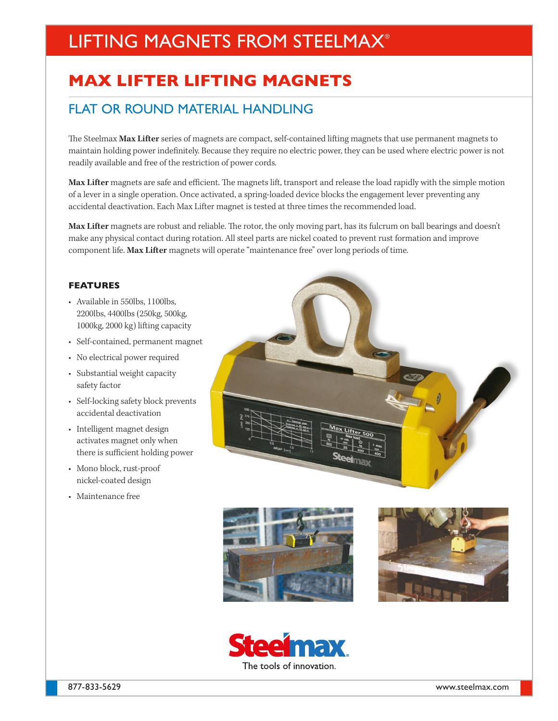# LIFTING MAGNETS FROM STEELMAX®

## **MAX LIFTER LIFTING MAGNETS**

## FLAT OR ROUND MATERIAL HANDLING

The Steelmax **Max Lifter** series of magnets are compact, self-contained lifting magnets that use permanent magnets to maintain holding power indefinitely. Because they require no electric power, they can be used where electric power is not readily available and free of the restriction of power cords.

**Max Lifter** magnets are safe and efficient. The magnets lift, transport and release the load rapidly with the simple motion of a lever in a single operation. Once activated, a spring-loaded device blocks the engagement lever preventing any accidental deactivation. Each Max Lifter magnet is tested at three times the recommended load.

**Max Lifter** magnets are robust and reliable. The rotor, the only moving part, has its fulcrum on ball bearings and doesn't make any physical contact during rotation. All steel parts are nickel coated to prevent rust formation and improve component life. **Max Lifter** magnets will operate "maintenance free" over long periods of time.

#### **FEATURES**

- Available in 550lbs, 1100lbs, 2200lbs, 4400lbs (250kg, 500kg, 1000kg, 2000 kg) lifting capacity
- Self-contained, permanent magnet
- No electrical power required
- Substantial weight capacity safety factor
- Self-locking safety block prevents accidental deactivation
- Intelligent magnet design activates magnet only when there is sufficient holding power
- Mono block, rust-proof nickel-coated design
- Maintenance free